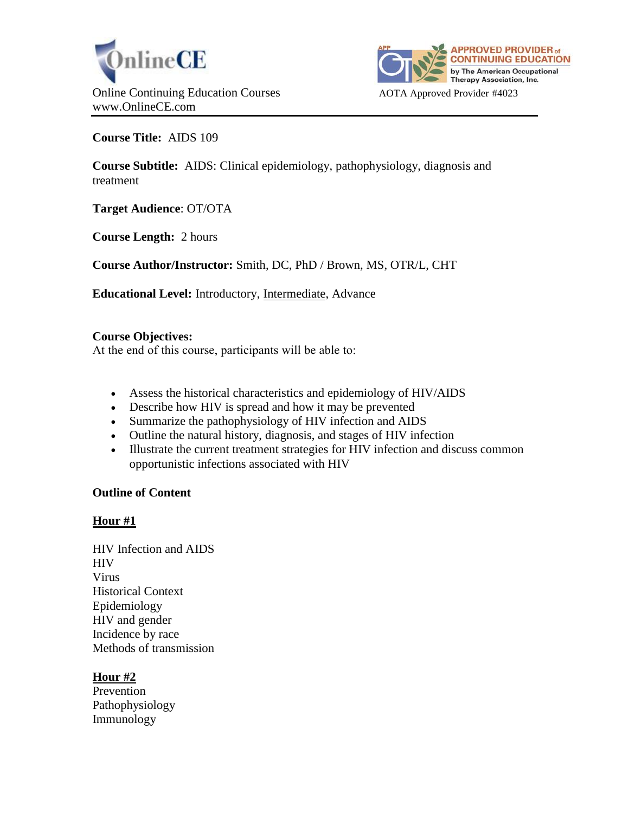



**Course Title:** AIDS 109

**Course Subtitle:** AIDS: Clinical epidemiology, pathophysiology, diagnosis and treatment

**Target Audience**: OT/OTA

**Course Length:** 2 hours

**Course Author/Instructor:** Smith, DC, PhD / Brown, MS, OTR/L, CHT

**Educational Level:** Introductory, Intermediate, Advance

# **Course Objectives:**

At the end of this course, participants will be able to:

- Assess the historical characteristics and epidemiology of HIV/AIDS
- Describe how HIV is spread and how it may be prevented
- Summarize the pathophysiology of HIV infection and AIDS
- Outline the natural history, diagnosis, and stages of HIV infection
- Illustrate the current treatment strategies for HIV infection and discuss common opportunistic infections associated with HIV

# **Outline of Content**

# **Hour #1**

HIV Infection and AIDS HIV Virus Historical Context Epidemiology HIV and gender Incidence by race Methods of transmission

# **Hour #2**

Prevention Pathophysiology Immunology